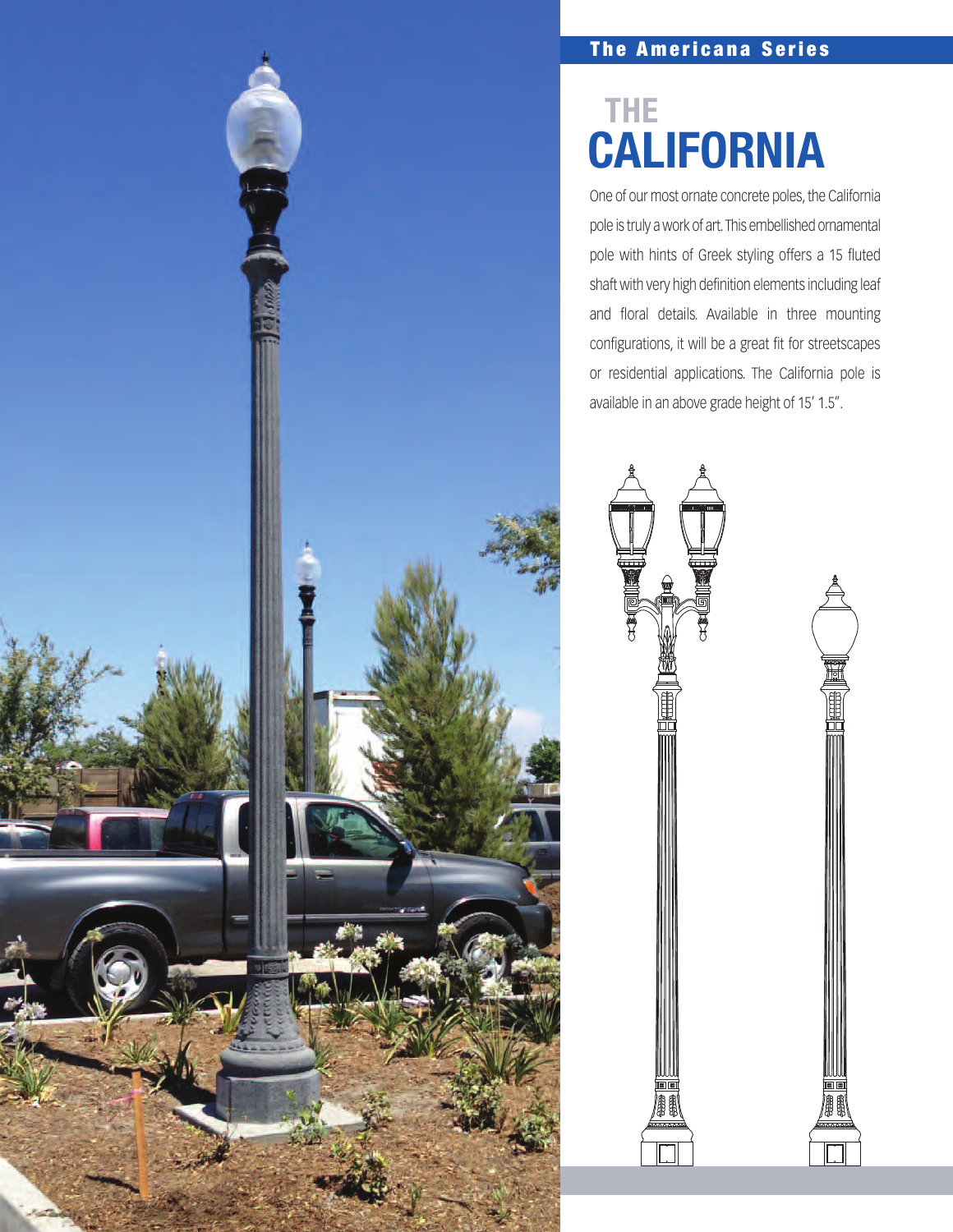### **The Americana Series**

## **CALIFORNIA THE**

One of our most ornate concrete poles, the California pole is truly a work of art. This embellished ornamental pole with hints of Greek styling offers a 15 fluted shaft with very high definition elements including leaf and floral details. Available in three mounting configurations, it will be a great fit for streetscapes or residential applications. The California pole is available in an above grade height of 15' 1.5".